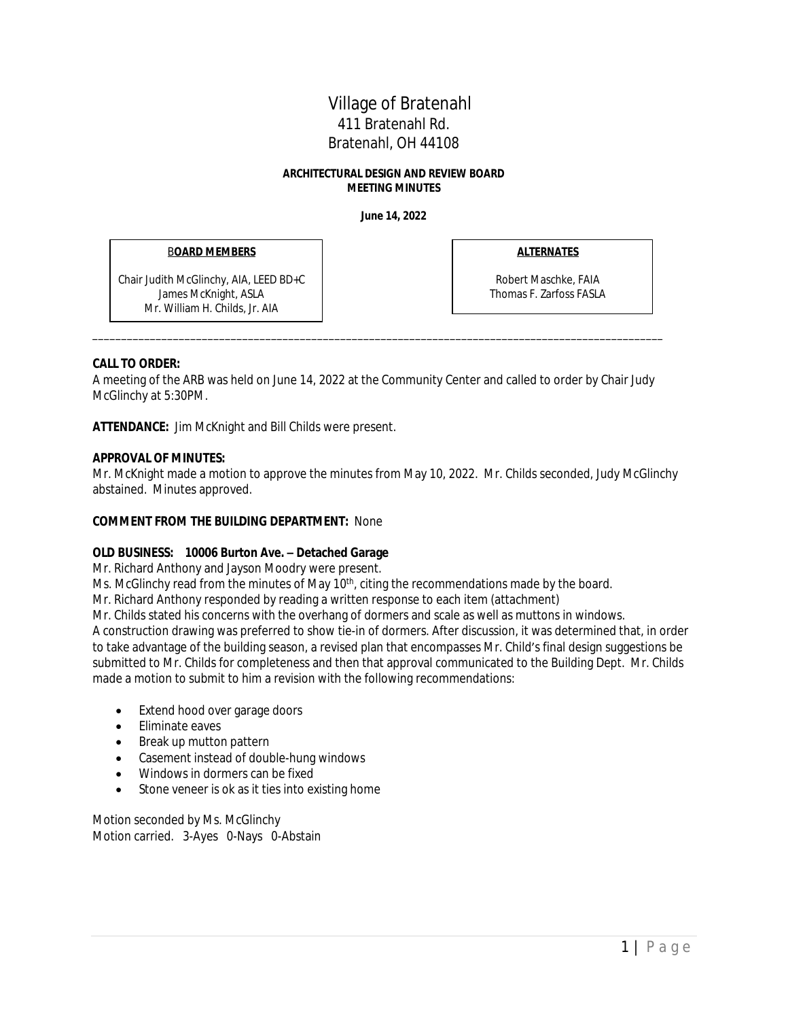# Village of Bratenahl 411 Bratenahl Rd. Bratenahl, OH 44108

#### **ARCHITECTURAL DESIGN AND REVIEW BOARD MEETING MINUTES**

**June 14, 2022**

#### B**OARD MEMBERS**

Chair Judith McGlinchy, AIA, LEED BD+C James McKnight, ASLA Mr. William H. Childs, Jr. AIA

**ALTERNATES**

Robert Maschke, FAIA Thomas F. Zarfoss FASLA

# **CALL TO ORDER:**

A meeting of the ARB was held on June 14, 2022 at the Community Center and called to order by Chair Judy McGlinchy at 5:30PM.

\_\_\_\_\_\_\_\_\_\_\_\_\_\_\_\_\_\_\_\_\_\_\_\_\_\_\_\_\_\_\_\_\_\_\_\_\_\_\_\_\_\_\_\_\_\_\_\_\_\_\_\_\_\_\_\_\_\_\_\_\_\_\_\_\_\_\_\_\_\_\_\_\_\_\_\_\_\_\_\_\_\_\_\_\_\_\_\_\_\_\_\_\_\_\_\_\_\_\_

**ATTENDANCE:** Jim McKnight and Bill Childs were present.

### **APPROVAL OF MINUTES:**

Mr. McKnight made a motion to approve the minutes from May 10, 2022. Mr. Childs seconded, Judy McGlinchy abstained. Minutes approved.

# **COMMENT FROM THE BUILDING DEPARTMENT:** None

# **OLD BUSINESS: 10006 Burton Ave. – Detached Garage**

Mr. Richard Anthony and Jayson Moodry were present.

Ms. McGlinchy read from the minutes of May  $10<sup>th</sup>$ , citing the recommendations made by the board.

Mr. Richard Anthony responded by reading a written response to each item (attachment)

Mr. Childs stated his concerns with the overhang of dormers and scale as well as muttons in windows. A construction drawing was preferred to show tie-in of dormers. After discussion, it was determined that, in order to take advantage of the building season, a revised plan that encompasses Mr. Child's final design suggestions be submitted to Mr. Childs for completeness and then that approval communicated to the Building Dept. Mr. Childs made a motion to submit to him a revision with the following recommendations:

- Extend hood over garage doors
- Eliminate eaves
- Break up mutton pattern
- Casement instead of double-hung windows
- Windows in dormers can be fixed
- Stone veneer is ok as it ties into existing home

Motion seconded by Ms. McGlinchy Motion carried. 3-Ayes 0-Nays 0-Abstain